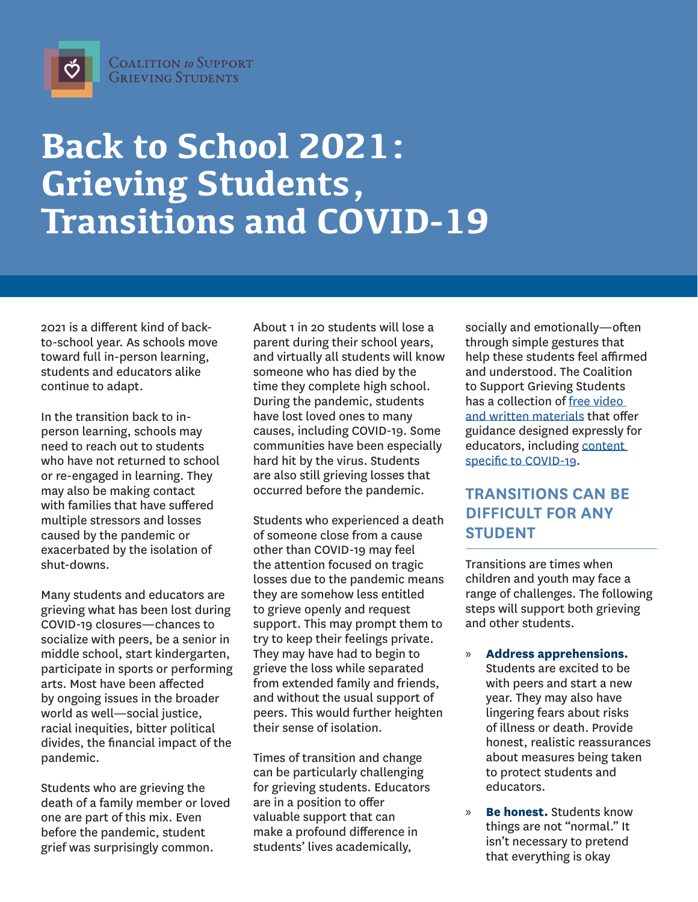

## **Back to School 2021: Grieving Students, Transitions and COVID-19**

2021 is a different kind of backto-school year. As schools move toward full in-person learning, students and educators alike continue to adapt.

In the transition back to inperson learning, schools may need to reach out to students who have not returned to school or re-engaged in learning. They may also be making contact with families that have suffered multiple stressors and losses caused by the pandemic or exacerbated by the isolation of shut-downs.

Many students and educators are grieving what has been lost during COVID-19 closures—chances to socialize with peers, be a senior in middle school, start kindergarten, participate in sports or performing arts. Most have been affected by ongoing issues in the broader world as well—social justice, racial inequities, bitter political divides, the financial impact of the pandemic.

Students who are grieving the death of a family member or loved one are part of this mix. Even before the pandemic, student grief was surprisingly common.

About 1 in 20 students will lose a parent during their school years, and virtually all students will know someone who has died by the time they complete high school. During the pandemic, students have lost loved ones to many causes, including COVID-19. Some communities have been especially hard hit by the virus. Students are also still grieving losses that occurred before the pandemic.

Students who experienced a death of someone close from a cause other than COVID-19 may feel the attention focused on tragic losses due to the pandemic means they are somehow less entitled to grieve openly and request support. This may prompt them to try to keep their feelings private. They may have had to begin to grieve the loss while separated from extended family and friends, and without the usual support of peers. This would further heighten their sense of isolation.

Times of transition and change can be particularly challenging for grieving students. Educators are in a position to offer valuable support that can make a profound difference in students' lives academically,

socially and emotionally—often through simple gestures that help these students feel affirmed and understood. The Coalition to Support Grieving Students has a collection of [free video](https://grievingstudents.org/)  [and written materials](https://grievingstudents.org/) that offer guidance designed expressly for educators, including [content](https://www.schoolcrisiscenter.org/resources/covid-19-pandemic-resources/)  [specific to COVID-19.](https://www.schoolcrisiscenter.org/resources/covid-19-pandemic-resources/)

## **TRANSITIONS CAN BE DIFFICULT FOR ANY STUDENT**

Transitions are times when children and youth may face a range of challenges. The following steps will support both grieving and other students.

» **Address apprehensions.** 

Students are excited to be with peers and start a new year. They may also have lingering fears about risks of illness or death. Provide honest, realistic reassurances about measures being taken to protect students and educators.

» **Be honest.** Students know things are not "normal." It isn't necessary to pretend that everything is okay